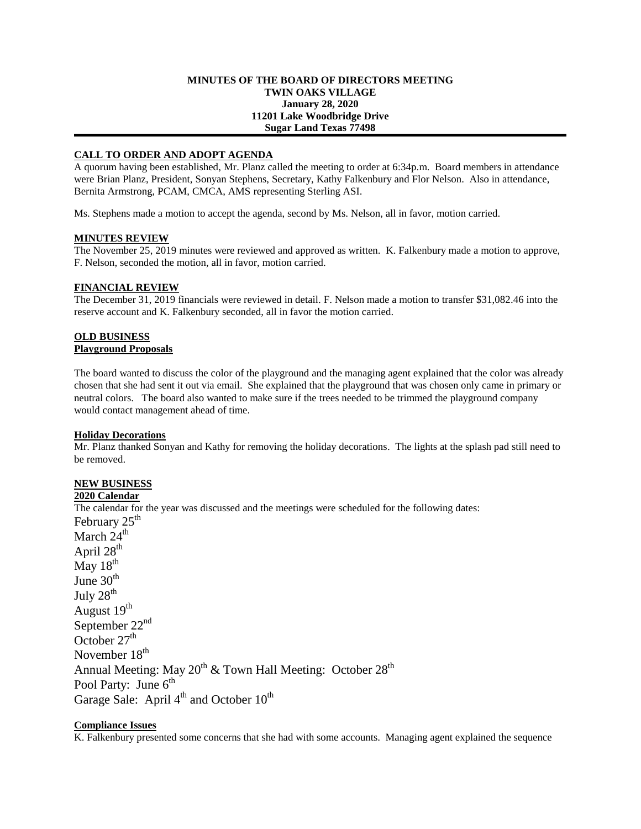### **MINUTES OF THE BOARD OF DIRECTORS MEETING TWIN OAKS VILLAGE January 28, 2020 11201 Lake Woodbridge Drive Sugar Land Texas 77498**

### **CALL TO ORDER AND ADOPT AGENDA**

A quorum having been established, Mr. Planz called the meeting to order at 6:34p.m. Board members in attendance were Brian Planz, President, Sonyan Stephens, Secretary, Kathy Falkenbury and Flor Nelson. Also in attendance, Bernita Armstrong, PCAM, CMCA, AMS representing Sterling ASI.

Ms. Stephens made a motion to accept the agenda, second by Ms. Nelson, all in favor, motion carried.

### **MINUTES REVIEW**

The November 25, 2019 minutes were reviewed and approved as written. K. Falkenbury made a motion to approve, F. Nelson, seconded the motion, all in favor, motion carried.

#### **FINANCIAL REVIEW**

The December 31, 2019 financials were reviewed in detail. F. Nelson made a motion to transfer \$31,082.46 into the reserve account and K. Falkenbury seconded, all in favor the motion carried.

# **OLD BUSINESS**

# **Playground Proposals**

The board wanted to discuss the color of the playground and the managing agent explained that the color was already chosen that she had sent it out via email. She explained that the playground that was chosen only came in primary or neutral colors. The board also wanted to make sure if the trees needed to be trimmed the playground company would contact management ahead of time.

#### **Holiday Decorations**

Mr. Planz thanked Sonyan and Kathy for removing the holiday decorations. The lights at the splash pad still need to be removed.

# **NEW BUSINESS**

## **2020 Calendar**

The calendar for the year was discussed and the meetings were scheduled for the following dates: February  $25<sup>th</sup>$ 

March 24<sup>th</sup> April  $28<sup>th</sup>$ May  $18^{th}$ June  $30<sup>th</sup>$ July  $28^{th}$ August  $19<sup>th</sup>$ September 22<sup>nd</sup> October  $27<sup>th</sup>$ November 18<sup>th</sup> Annual Meeting: May  $20^{th}$  & Town Hall Meeting: October  $28^{th}$ Pool Party: June  $6<sup>th</sup>$ Garage Sale: April  $4<sup>th</sup>$  and October  $10<sup>th</sup>$ 

### **Compliance Issues**

K. Falkenbury presented some concerns that she had with some accounts. Managing agent explained the sequence